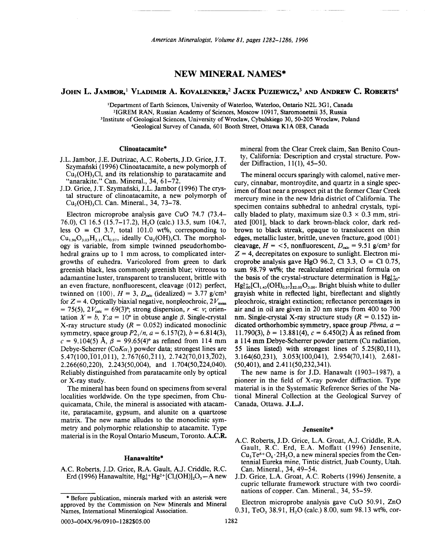# **NEW MINERAL NAMES\***

# JOHN L. JAMBOR,l VLADIMIR A. KOVALENKER,2 JACEK PuZIEWICZ,3 ANDANDREW C. ROBERTS4

<sup>1</sup>Department of Earth Sciences, University of Waterloo, Waterloo, Ontario N2L 3G1, Canada 21GREM RAN, Russian Academy of Sciences, Moscow 10917, Staromonetnii 35, Russia <sup>3</sup>Institute of Geological Sciences, University of Wroclaw, Cybulskiego 30, 50-205 Wroclaw, Poland 4Geological Survey of Canada, 601 Booth Street, Ottawa KIA OE8, Canada

#### Clinoatacamite\*

- J.L. Jambor, J.E. Dutrizac, AC. Roberts, J.D. Grice, J.T. Szymanski (1996) Clinoatacamite, a new polymorph of  $Cu<sub>2</sub>(OH)<sub>3</sub>Cl$ , and its relationship to paratacamite and "anarakite." Can. Mineral., 34, 61-72.
- J.D. Grice, J.T. Szymański, J.L. Jambor (1996) The crystal structure of clinoatacamite, a new polymorph of Cu<sub>2</sub>(OH)<sub>3</sub>Cl. Can. Mineral., 34, 73-78.

Electron microprobe analysis gave CuO 74.7 (73.4- 76.0), Cl 16.5 (15.7–17.2), H<sub>2</sub>O (calc.) 13.5, sum 104.7, less  $O = Cl$  3.7, total 101.0 wt%, corresponding to  $Cu_{1.96}O_{3.03}H_{3.11}Cl_{0.97}$ , ideally  $Cu_{2}(OH)_{3}Cl$ . The morphology is variable, from simple twinned pseudorhombohedral grains up to 1 mm across, to complicated intergrowths of euhedra. Varicolored from green to dark greenish black, less commonly greenish blue; vitreous to adamantine luster, transparent to translucent, brittle with an even fracture, nonfluorescent, cleavage  $\{012\}$  perfect, twinned on  $\{100\}$ ,  $H = 3$ ,  $D_{\text{calc}}$  (idealized) = 3.77 g/cm<sup>3</sup> for  $Z = 4$ . Optically biaxial negative, nonpleochroic,  $2V_{\text{meas}}$  $= 75(5)$ ,  $2V_{\text{calc}} = 69(3)$ °; strong dispersion,  $r \ll v$ ; orientation  $X = b$ ,  $Y: a = 10^{\circ}$  in obtuse angle  $\beta$ . Single-crystal X-ray structure study  $(R = 0.052)$  indicated monoclinic symmetry, space group  $P2_1/n$ ,  $a = 6.157(2)$ ,  $b = 6.814(3)$ ,  $c = 9.104(5)$  Å,  $\beta = 99.65(4)$ ° as refined from 114 mm Debye-Scherrer *(CoK* $\alpha$ *<sub>1</sub>)* powder data; strongest lines are  $5.47(100,\overline{1}01,011), 2.767(60,\overline{2}11), 2.742(70,013,\overline{2}02),$  $2.266(60, 220)$ ,  $2.243(50, 004)$ , and  $1.704(50, \overline{2}24, 040)$ . Reliably distinguished from paratacamite only by optical or X-ray study.

The mineral has been found on specimens from several localities worldwide. On the type specimen, from Chuquicamata, Chile, the mineral is associated with atacamite, paratacamite, gypsum, and alunite on a quartzose matrix. The new name alludes to the monoclinic symmetry and polymorphic relationship to atacamite. Type material is in the Royal Ontario Museum, Toronto. A.C.R.

#### Hanawaltite\*

AC. Roberts, J.D. Grice, R.A Gault, AJ. Criddle, R.C. Erd (1996) Hanawaltite,  $Hg_6^{1+}Hg^{2+}[Cl,(OH)]_2O_3-A$  new mineral from the Clear Creek claim, San Benito County, California: Description and crystal structure. Powder Diffraction, 11(1), 45-50.

The mineral occurs sparingly with calomel, native mercury, cinnabar, montroydite, and quartz in a single specimen of float near a prospect pit at the former Clear Creek mercury mine in the new Idria district of California. The specimen contains subhedral to anhedral crystals, typically bladed to platy, maximum size  $0.3 \times 0.3$  mm, striated [001], black to dark brown-black color, dark redbrown to black streak, opaque to translucent on thin edges, metallic luster, brittle, uneven fracture, good {001} cleavage,  $H = \langle 5$ , nonfluorescent,  $D_{\text{calc}} = 9.51$  g/cm<sup>3</sup> for  $Z = 4$ , decrepitates on exposure to sunlight. Electron microprobe analysis gave HgO 96.2, Cl 3.3, O = Cl 0.75, sum 98.79 wt%; the recalculated empirical formula on the basis of the crystal-structure determination is  $Hg_{6,00}^{1+}$ - $Hg_{1,00}^{2+}[Cl_{1,43}(OH)_{0.57}]_{\Sigma_{2,00}}O_{3,00}$ . Bright bluish white to duller grayish white in reflected light, bireflectant and slightly pleochroic, straight extinction; reflectance percentages in air and in oil are given in 20 nm steps from 400 to 700 nm. Single-crystal X-ray structure study  $(R = 0.152)$  indicated orthorhombic symmetry, space group *Pbma, a =* 11.790(3),  $b = 13.881(4)$ ,  $c = 6.450(2)$  Å as refined from a 114 mm Debye-Scherrer powder pattern (Cu radiation, 55 lines listed) with strongest lines of 5.25(80,111), 3.164(60,231), 3.053(100,041), 2.954(70,141), 2.681- (50,401), and 2.411(50,232,341).

The new name is for J.D. Hanawalt (1903-1987), a pioneer in the field of X-ray powder diffraction. Type material is in the Systematic Reference Series of the National Mineral Collection at the Geological Survey of Canada, Ottawa. J.L.J.

#### Jensenite\*

- AC. Roberts, J.D. Grice, L.A Groat, AJ. Criddle, R.A Gault, R.C. Erd, E.A. Moffatt (1996) Jensenite,  $Cu<sub>3</sub>Te<sup>6+</sup>O<sub>6</sub>·2H<sub>2</sub>O$ , a new mineral species from the Centennial Eureka mine, Tintic district, Juab County, Utah. Can. Mineral., 34, 49-54.
- J.D. Grice, L.A. Groat, A.C. Roberts (1996) Jensenite, a cupric tellurate framework structure with two coordinations of copper. Can. Mineral., 34, 55-59.

Electron microprobe analysis gave CuO 50.91, ZnO 0.31, TeO<sub>3</sub> 38.91, H<sub>2</sub>O (calc.) 8.00, sum 98.13 wt%, cor-

<sup>\*</sup> Before publication, minerals marked with an asterisk were approved by the Commission on New Minerals and Mineral Names, International Mineralogical Association.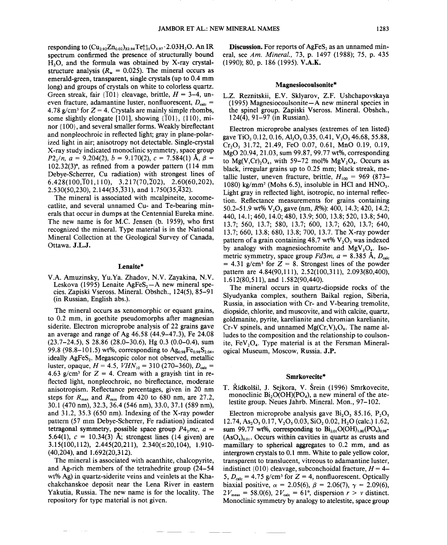responding to  $(Cu_{2.92}Zn_{0.02})_{22.94}Te_{1.01}^{6+1}O_{5.97}\cdot 2.03H_2O$ . An IR spectrum confirmed the presence of structurally bound H<sub>2</sub>O, and the formula was obtained by X-ray crystalstructure analysis  $(R_w = 0.025)$ . The mineral occurs as emerald-green, transparent, single crystals (up to 0.4 mm long) and groups of crystals on white to colorless quartz. Green streak, fair  $\{T01\}$  cleavage, brittle,  $H = 3-4$ , uneven fracture, adamantine luster, nonfluorescent,  $D_{\text{calc}}=$ 4.78 g/cm<sup>3</sup> for  $Z = 4$ . Crystals are mainly simple rhombs, some slightly elongate [101], showing  $\{101\}$ ,  $\{110\}$ , minor {100}, and several smaller forms. Weakly bireflectant and nonpleochroic in reflected light; gray in plane-polarized light in air; anisotropy not detectable. Single-crystal X-ray study indicated monoclinic symmetry, space group *P*2,/*n*,  $a = 9.204(2)$ ,  $b = 9.170(2)$ ,  $c = 7.584(1)$  Å,  $\beta =$ 102.32(3)°,as refined from a powder pattern (114 mm Debye-Scherrer, Cu radiation) with strongest lines of  $6.428(100,\overline{1}01,110), 3.217(70,\overline{2}02), 2.60(60,202),$  $2.530(50,230)$ ,  $2.144(35,\overline{3}31)$ , and  $1.750(35,\overline{4}32)$ .

The mineral is associated with mcalpineite, xocomecatlite, and several unnamed Cu- and Te-bearing minerals that occur in dumps at the Centennial Eureka mine. The new name is for M.C. Jensen (b. 1959), who first recognized the mineral. Type material is in the National Mineral Collection at the Geological Survey of Canada, Ottawa. J.L.J.

### Lenaite\*

V.A. Amuzinsky, YU.Ya. Zhadov, N.V. Zayakina, N.V. Leskova (1995) Lenaite AgFeS<sub>2</sub> $-A$  new mineral species. Zapiski Vseross. Mineral. Obshch., 124(5),85-91 (in Russian, English abs.).

The mineral occurs as xenomorphic or equant grains, to 0.2 mm, in goethite pseudomorphs after magnesian siderite. Electron microprobe analysis of 22 grains gave an average and range of Ag 46.58 (44.9-47.3), Fe 24.08 (23.7-24.5), S 28.86 (28.0-30.6), Hg 0.3 (0.0-0.4), sum 99.8 (98.8–101.5) wt%, corresponding to  $Ag_{0.98}Fe_{0.98}S_{2.04}$ , ideally  $AgFeS<sub>2</sub>$ . Megascopic color not observed, metallic luster, opaque,  $H = 4.5$ ,  $VHN_{10} = 310 (270-360)$ ,  $D_{\text{calc}} =$ 4.63 g/cm<sup>3</sup> for  $Z = 4$ . Cream with a grayish tint in reflected light, nonpleochroic, no bireflectance, moderate anisotropism. Reflectance percentages, given in 20 nm steps for  $R_{\text{max}}$  and  $R_{\text{min}}$  from 420 to 680 nm, are 27.2, 30.1 (470 nm), 32.3, 36.4 (546 nm), 33.0, 37.1 (589 nm), and 31.2, 35.3 (650 nm). Indexing of the X-ray powder pattern (57 mm Debye-Scherrer, Fe radiation) indicated tetragonal symmetry, possible space group  $P4_2mc$ ,  $a =$ 5.64(1),  $c = 10.34(3)$  Å; strongest lines (14 given) are  $3.15(100, 112), 2.445(20, 211), 2.340(\leq 20, 104), 1.910-$ (40,204), and 1.692(20,312).

The mineral is associated with acanthite, chalcopyrite, and Ag-rich members of the tetrahedrite group (24-54 wt% Ag) in quartz-siderite veins and veinlets at the Khachakchanskoe deposit near the Lena River in eastern Yakutia, Russia. The new name is for the locality. The repository for type material is not given.

Discussion. For reports of AgFeS, as an unnamed mineral, see *Am. Mineral.,* 73, p. 1497 (1988); 75, p. 435 (1990); 80, p. 186 (1995). V.A.K.

#### Magnesiocoulsonite\*

L.Z. Reznitskii, E.V. Sklyarov, Z.F. Ushchapovskaya (1995) Magnesiocoulsonite-A new mineral species in the spinel group. Zapiski Vseross. Mineral. Obshch., 124(4),91-97 (in Russian).

Electron microprobe analyses (extremes of ten listed) gave TiO<sub>2</sub> 0.12, 0.16, Al<sub>2</sub>O<sub>3</sub> 0.35, 0.41, V<sub>2</sub>O<sub>3</sub> 46.68, 55.88, Cr<sub>2</sub>O<sub>3</sub> 31.72, 21.49, FeO 0.07, 0.61, MnO 0.19, 0.19, MgO 20.94, 21.03, sum 99.87, 99.77 wt%, corresponding to  $Mg(V, Cr), O<sub>4</sub>$ , with 59-72 mol%  $MgV<sub>2</sub>O<sub>4</sub>$ . Occurs as black, irregular grains up to 0.25 mm; black streak, metallic luster, uneven fracture, brittle,  $H_{100} = 969$  (873– 1080) kg/mm<sup>2</sup> (Mohs 6.5), insoluble in HCl and  $HNO<sub>3</sub>$ . Light gray in reflected light, isotropic, no internal reflection. Reflectance measurements for grains containing 50.2-51.9 wt% V203 gave (nm, *R%):* 400, 14.3; 420, 14.2; 440,14.1; 460,14.0; 480,13.9; 500,13.8; 520,13.8; 540, 13.7; 560, 13.7; 580, 13.7; 600, 13.7; 620, 13.7; 640, 13.7; 660, 13.8; 680, 13.8; 700, 13.7. The X-ray powder pattern of a grain containing 48.7 wt%  $V<sub>2</sub>O<sub>3</sub>$  was indexed by analogy with magnesiochromite and  $MgV_2O_4$ . Isometric symmetry, space group  $Fd3m$ ,  $a = 8.385 \text{ Å}$ ,  $D_{\text{calc}}$  $= 4.31$  g/cm<sup>3</sup> for  $Z = 8$ . Strongest lines of the powder pattern are 4.84(90,111), 2.52(100,311), 2.093(80,400), 1.612(80,511), and 1.582(90,440).

The mineral occurs in quartz-diopside rocks of the Slyudyanka complex, southern Baikal region, Siberia, Russia, in association with Cr- and V-bearing tremolite, diopside, chlorite, and muscovite, and with calcite, quartz, goldmanite, pyrite, karelianite and chromian karelianite, Cr-V spinels, and unnamed  $Mg(Cr,V)_4O_9$ . The name alludes to the composition and the relationship to coulsonite,  $FeV<sub>2</sub>O<sub>4</sub>$ . Type material is at the Fersman Mineralogical Museum, Moscow, Russia. J.P.

#### Smrkovecite\*

T. Řídkolšil, J. Sejkora, V. Šrein (1996) Smrkovecite, monoclinic  $Bi<sub>2</sub>O(OH)(PO<sub>4</sub>)$ , a new mineral of the atelestite group. Neues Jahrb. Mineral. Mon., 97-102.

Electron microprobe analysis gave  $Bi<sub>2</sub>O<sub>3</sub> 85.16$ ,  $P<sub>2</sub>O<sub>5</sub>$  $12.74, As<sub>2</sub>O<sub>5</sub> 0.17, V<sub>2</sub>O<sub>5</sub> 0.03, SiO<sub>2</sub> 0.02, H<sub>2</sub>O (calc.) 1.62,$ sum 99.77 wt%, corresponding to  $Bi_{2,01}O(OH)_{1,00}(PO_4)_{0.98}$ - $(AsO<sub>4</sub>)<sub>0.01</sub>$ . Occurs within cavities in quartz as crusts and mamillary to spherical aggregates to 0.2 mm, and as intergrown crystals to 0.1 mm. White to pale yellow color, transparent to translucent, vitreous to adamantine luster, indistinct  $\{010\}$  cleavage, subconchoidal fracture,  $H = 4-$ 5,  $D_{calc} = 4.75$  g/cm<sup>3</sup> for Z = 4, nonfluorescent. Optically biaxial positive,  $\alpha = 2.05(6)$ ,  $\beta = 2.06(7)$ ,  $\gamma = 2.09(6)$  $2V_{\text{meas}} = 58.0(6), 2V_{\text{calc}} = 61^{\circ}$ , dispersion  $r > v$  distinct. Monoclinic symmetry by analogy to atelestite, space group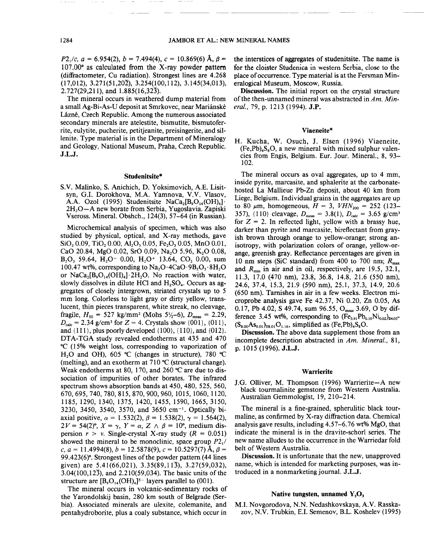*P*2<sub>1</sub>/c,  $a = 6.954(2)$ ,  $b = 7.494(4)$ ,  $c = 10.869(6)$  Å,  $\beta =$ 107.00° as calculated from the X-ray powder pattern (diffractometer, Cu radiation). Strongest lines are 4.268  $(17,012), 3.271(51,20\overline{2}), 3.254(100,112), 3.145(34,013),$  $2.727(29.211)$ , and  $1.885(16.32\overline{3})$ .

The mineral occurs in weathered dump material from a small Ag-Bi-As-U deposit at Smrkovec, near Mariánské Lázné, Czech Republic. Among the numerous associated secondary minerals are atelestite, bismutite, bismutoferrite, eulytite, pucherite, petitjeanite, preisingerite, and sillenite. Type material is in the Department of Mineralogy and Geology, National Museum, Praha, Czech Republic. J.L.J.

#### Studenitsite\*

S.V. Malinko, S. Anichich, D. Yoksimovich, A.E. Lisitsyn, G.I. Dorokhova, M.A Yamnova, V.V. Vlasov, A.A. Ozol (1995) Studenitsite NaCa<sub>2</sub>[B<sub>9</sub>O<sub>14</sub>(OH)<sub>4</sub>] $\cdot$ 2H<sub>2</sub>O-A new borate from Serbia, Yugoslavia. Zapiski Vseross. Mineral. Obshch., 124(3), 57-64 (in Russian).

Microchemical analysis of specimen, which was also studied by physical, optical, and X-ray methods, gave  $SiO, 0.09$ , TiO<sub>2</sub> 0.00, Al<sub>2</sub>O<sub>3</sub> 0.05, Fe<sub>2</sub>O<sub>3</sub> 0.05, MnO 0.01, CaO 20.84, MgO 0.02, SrO 0.09, Na<sub>2</sub>O 5.96, K<sub>2</sub>O 0.08,  $B_2O_3$  59.64, H<sub>2</sub>O<sup>-</sup> 0.00, H<sub>2</sub>O<sup>+</sup> 13.64, CO<sub>2</sub> 0.00, sum 100.47 wt%, corresponding to  $Na_2O \cdot 4CaO \cdot 9B_2O_3 \cdot 8H_2O$ or  $NaCa<sub>2</sub>[B<sub>9</sub>O<sub>14</sub>(OH)<sub>4</sub>]+2H<sub>2</sub>O$ . No reaction with water, slowly dissolves in dilute HCl and  $H_2SO_4$ . Occurs as aggregates of closely intergrown, striated crystals up to 5 mm long. Colorless to light gray or dirty yellow, translucent, thin pieces transparent, white streak, no cleavage, fragile,  $H_{50} = 527$  kg/mm<sup>2</sup> (Mohs 5<sup>1</sup>/<sub>2</sub>-6),  $D_{\text{meas}} = 2.29$ ,  $D_{\text{calc}} = 2.34$  g/cm<sup>3</sup> for  $Z = 4$ . Crystals show {001}, {011}, and  $\{111\}$ , plus poorly developed  $\{100\}$ ,  $\{110\}$ , and  $\{012\}$ . DTA-TGA study revealed endotherms at 435 and 470 °C (15% weight loss, corresponding to vaporization of H<sub>2</sub>O and OH), 605 °C (changes in structure), 780 °C (melting), and an exotherm at 710°C (structural change). Weak endotherms at 80, 170, and 260 °C are due to dissociation of impurities of other borates. The infrared spectrum shows absorption bands at 450, 480, 525, 560, 670,695,740,780,815,870,900,960,1015,1060,1120, 1185, 1290, 1340, 1375, 1420, 1455, 1590, 1665,3150, 3230, 3450, 3540, 3570, and 3650 cm<sup>-1</sup>. Optically biaxial positive,  $\alpha = 1.532(2), \beta = 1.538(2), \gamma = 1.564(2)$  $2V = 54(2)$ °,  $X = \gamma$ ,  $Y = \alpha$ ,  $Z \wedge \beta = 10$ °, medium dispersion  $r > v$ . Single-crystal X-ray study  $(R = 0.051)$ showed the mineral to be monoclinic, space group *P2/* c.  $a = 11.4994(8)$ ,  $b = 12.5878(9)$ ,  $c = 10.5297(7)$   $\AA$ ,  $\beta =$ 99.423(6)°. Strongest lines of the powder pattern (44 lines given) are  $5.41(66,021)$ ,  $3.35(89,11\overline{3})$ ,  $3.27(59,032)$ , 3.04(100,123), and 2.210(59,034). The basic units of the structure are  $[B_9O_{14}(OH)_4]^{5-}$  layers parallel to (001).

The mineral occurs in volcanic-sedimentary rocks of the Yarondolskij basin, 280 km south of Belgrade (Serbia). Associated minerals are ulexite, colemanite, and pentahydroborite, plus a coaly substance, which occur in

the interstices of aggregates of studenitsite. The name is for the cloister Studenica in western Serbia, close to the place of occurrence. Type material is at the Fersman Mineralogical Museum, Moscow, Russia.

Discussion. The initial report on the crystal structure of the then-unnamed mineral was abstracted in *Am. Mineral.,* 79, p. 1213 (1994). J.P.

### Viaeneite\*

H. Kucha, W. Osuch, J. Elsen (1996) Viaeneite,  $(Fe.Pb)$ <sub>s</sub>S<sub>s</sub>O, a new mineral with mixed sulphur valencies from Engis, Belgium. Eur. Jour. Mineral., 8, 93- 102.

The mineral occurs as oval aggregates, up to 4 mm, inside pyrite, marcasite, and sphalerite at the carbonatehosted La Mallieue Pb-Zn deposit, about 40 km from Liege, Belgium. Individual grains in the aggregates are up to 80  $\mu$ m, homogeneous,  $H = 3$ ,  $VHN_{200} = 252$  (123-357), {110} cleavage,  $D_{\text{meas}} = 3.8(1)$ ,  $D_{\text{calc}} = 3.65 \text{ g/cm}^3$ for  $Z = 2$ . In reflected light, yellow with a brassy hue, darker than pyrite and marcasite, bireflectant from grayish brown through orange to yellow-orange; strong anisotropy, with polarization colors of orange, yellow-orange, greenish gray. Reflectance percentages are given in 10 nm steps (SiC standard) from 400 to 700 nm;  $R_{\text{max}}$ and *Rmin* in air and in oil, respectively, are 19.5, 32.1, 11.3, 17.0 (470 nm), 23.8, 36.8, 14.8,21.6 (550 nm), 24.6, 37.4, 15.3, 21.9 (590 nm), 25.1, 37.3, 14.9, 20.6 (650 nm). Tarnishes in air in a few weeks. Electron microprobe analysis gave Fe 42.37, Ni 0.20, Zn 0.05, As 0.17, Pb 4.02, S 49.74, sum 96.55,  $O_{meas}$  3.69, O by difference 3.45 wt%, corresponding to  $(Fe_{3.91}Pb_{0.10}Ni_{0.02})_{z4.03}$ - $(S_{8.00}As_{0.01})_{28.01}O_{1.16}$ , simplified as  $(Fe, Pb)_4S_8O$ .

Discussion. The above data supplement those from an incomplete description abstracted in *Am. Mineral., 81,* p. 1015 (1996). J.L.J.

#### **Warrierite**

J.G. Olliver, M. Thompson (1996) Warrierite-A new black tourmalinite gemstone from Western Australia. Australian Gemmologist, 19,210-214.

The mineral is a fine-grained, spherulitic black tourmaline, as confirmed by X-ray diffraction data. Chemical analysis gave results, including 4.57-6.76 wt% MgO, that indicate the mineral is in the dravite-schorl series. The new name alludes to the occurrence in the Warriedar fold belt of Western Australia.

Discussion. It is unfortunate that the new, unapproved name, which is intended for marketing purposes, was introduced in a nonmarketing journal. J.L.J.

#### Native tungsten, unnamed  $Y_2O_3$

M.I. Novgorodova, N.N. Nedashkovskaya, A.V. Rasskazov, N.V. Trubkin, E.I. Semenov, B.L. Koshelev (1995)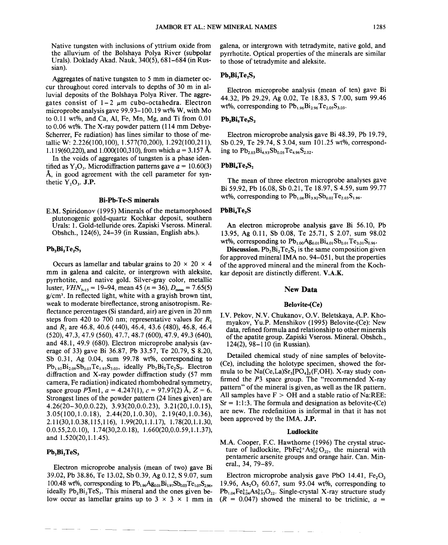Native tungsten with inclusions of yttrium oxide from the alluvium of the Bolshaya Polya River (subpolar Urals). Doklady Akad. Nauk, 340(5), 681-684 (in Russian).

Aggregates of native tungsten to 5 mm in diameter occur throughout cored intervals to depths of 30 m in alluvial deposits of the Bolshaya Polya River. The aggregates consist of  $1-2$   $\mu$ m cubo-octahedra. Electron microprobe analysis gave 99.93-100.19 wt% W, with Mo to 0.11 wt%, and Ca, AI, Fe, Mn, Mg, and Ti from 0.01 to 0.06 wt%. The X-ray powder pattern (114 mm Debye-Scherrer, Fe radiation) has lines similar to those of metallic W: 2.226(100,100), 1.577(70,200), 1.292(100,211), 1.119(60,220), and 1.000(100,310), from which  $a = 3.157$  Å. In the voids of aggregates of tungsten is a phase iden-

tified as  $Y_2O_3$ . Microdiffraction patterns gave  $a = 10.60(3)$ A, in good agreement with the cell parameter for synthetic  $Y_2O_3$ . J.P.

### Bi-Pb-Te-S minerals

E.M. Spiridonov (1995) Minerals of the metamorphosed plutonogenic gold-quartz Kochkar deposit, southern Urals: 1. Gold-telluride ores. Zapiski Vseross. Mineral. Obshch., 124(6), 24-39 (in Russian, English abs.).

### $Pb_2Bi_2Te_2S_3$

Occurs as lamellar and tabular grains to  $20 \times 20 \times 4$ mm in galena and calcite, or intergrown with aleksite, pyrrhotite, and native gold. Silver-gray color, metallic luster, *VHN*<sub>5-15</sub> = 19–94, mean 45 (*n* = 36), *D*<sub>meas</sub> = 7.65(5)  $g/cm<sup>3</sup>$ . In reflected light, white with a grayish brown tint, weak to moderate bireflectance, strong anisotropism. Reflectance percentages (Si standard, air) are given in 20 nm steps from 420 to 700 nm; representative values for  $R_1$ and  $R_2$  are 46.8, 40.6 (440), 46.4, 43.6 (480), 46.8, 46.4 (520),47.3,47.9 (560), 47.7, 48.7 (600), 47.9, 49.3 (640), and 48.1, 49.9 (680). Electron microprobe analysis (average of 33) gave Bi 36.87, Pb 33.57, Te 20.79, S 8.20, Sb 0.31, Ag 0.04, sum 99.78 wt%, corresponding to  $Pb_{1,92}Bi_{2,09}Sb_{0,03}Te_{1,93}S_{3,03}$ , ideally  $Pb_2Bi_2Te_2S_3$ . Electron diffraction and X-ray powder diffraction study (57 mm camera, Fe radiation) indicated rhombohedral symmetry, space group  $\overline{P3}m1$ ,  $a = 4.247(1)$ ,  $c = 97.97(2)$  Å,  $Z = 6$ . Strongest lines of the powder pattern (24 lines given) are 4.26(20- 30,0.0.22), 3.93(20,0.0.23), 3.21 (20, 1.0.15), 3.05(100,1.0.18), 2.44(20,1.0.30), 2.19(40,1.0.36), 2.11(30,1.0.38,115,116), 1.99(20,1.1.17), 1.78(20,1.1.30, 0.0.55,2.0.10), 1.74(30,2.0.18), 1.660(20,0.0.59,1.1.37), and 1.520(20,1.1.45).

### $Pb_2Bi_2TeS_3$

Electron microprobe analysis (mean of two) gave Bi 39.02, Pb 38.86, Te 13.02, Sb 0.39, Ag 0.12, S 9.07, sum 100.48 wt%, corresponding to  $Pb_{1.96}Ag_{0.01}Bi_{1.97}Sb_{0.03}Te_{1.07}S_{2.96}$ , ideally  $Pb_2Bi_2TeS_3$ . This mineral and the ones given below occur as lamellar grains up to  $3 \times 3 \times 1$  mm in galena, or intergrown with tetradymite, native gold, and pyrrhotite. Optical properties of the minerals are similar to those of tetradymite and aleksite.

## $Pb_2Bi_3Te_2S_3$

Electron microprobe analysis (mean of ten) gave Bi 44.32, Pb 29.29, Ag 0.02, Te 18.83, S 7.00, sum 99.46 wt%, corresponding to  $Pb_{1.96}Bi_{2.96}Te_{2.05}S_{3.03}$ .

# Pb.Bi.Te.S.

Electron microprobe analysis gave Bi 48.39, Pb 19.79, Sb 0.29, Te 29.74, S 3.04, sum 101.25 wt%, corresponding to  $Pb_{2.03}Bi_{4.93}Sb_{0.05}Te_{4.96}S_{2.02}$ .

# PbBi.Te.S.

The mean of three electron microprobe analyses gave Bi 59.92, Pb 16.08, Sb 0.21, Te 18.97, S 4.59, sum 99.77 wt%, corresponding to  $Pb_{1.06}Bi_{3.92}Sb_{0.02}Te_{2.03}S_{1.96}$ .

## PbBi<sub>4</sub>Te<sub>3</sub>S

---

An electron microprobe analysis gave Bi 56.10, Pb 13.95, Ag 0.11, Sb 0.08, Te 25.71, S 2.07, sum 98.02 wt%, corresponding to  $Pb_{1,00}Ag_{0,01}Bi_{4,01}S_{0,01}Te_{3,01}S_{0,96}$ .

Discussion.  $Pb_2Bi_2Te_2S_3$  is the same composition given for approved mineral IMA no. 94-051, but the properties of the approved mineral and the mineral from the Kochkar deposit are distinctly different. V.A.K.

### New **Data**

#### Belovite-(Ce)

I.V. Pekov, N.V. Chukanov, O.V. Beletskaya, A.P. Khomyakov, YU.P. Menshikov (1995) Belovite-(Ce): New data, refined formula and relationship to other minerals of the apatite group. Zapiski Vseross. Mineral. Obshch., 124(2),98-110 (in Russian).

Detailed chemical study of nine samples of belovite- (Ce), including the holotype specimen, showed the formula to be  $Na(Ce, La)Sr<sub>3</sub>[PO<sub>4</sub>]<sub>3</sub>(F, OH)$ . X-ray study confirmed the *P3* space group. The "recommended X-ray pattern" of the mineral is given, as well as the IR pattern. All samples have  $F > OH$  and a stable ratio of Na:REE:  $Sr = 1:1:3$ . The formula and designation as belovite-(Ce) are new. The redefinition is informal in that it has not been approved by the IMA. J.P.

#### LudIockite

M.A. Cooper, F.C. Hawthorne (1996) The crystal structure of ludlockite, PbFe $3+As_{10}^{3+}O_{22}$ , the mineral with pentameric arsenite groups and orange hair. Can. Mineral., 34, 79-89.

Electron microprobe analysis gave PbO 14.41,  $Fe<sub>3</sub>O<sub>3</sub>$ 19.96,  $As_2O_3$  60.67, sum 95.04 wt%, corresponding to  $Pb_{1,04}Fe_{4,04}^{3+}As_{9,93}^{3+}O_{22}$ . Single-crystal X-ray structure study  $(R = 0.047)$  showed the mineral to be triclinic,  $a =$